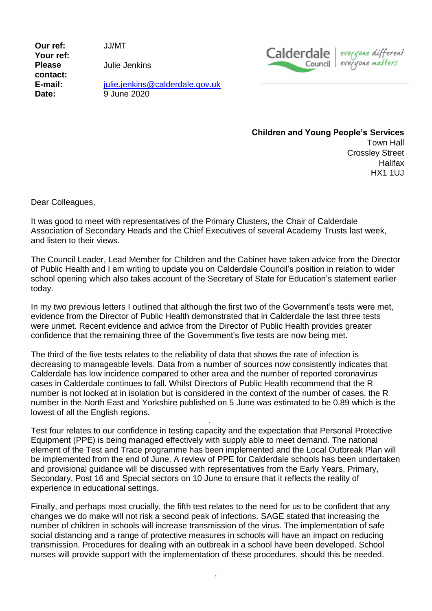**Our ref:** JJ/MT **Your ref: Please contact:**

Julie Jenkins

**E-mail:** [julie.jenkins@calderdale.gov.uk](mailto:julie.jenkins@calderdale.gov.uk) **Date:** 9 June 2020



**Children and Young People's Services** Town Hall Crossley Street **Halifax** 

HX1 1UJ

Dear Colleagues,

It was good to meet with representatives of the Primary Clusters, the Chair of Calderdale Association of Secondary Heads and the Chief Executives of several Academy Trusts last week, and listen to their views.

The Council Leader, Lead Member for Children and the Cabinet have taken advice from the Director of Public Health and I am writing to update you on Calderdale Council's position in relation to wider school opening which also takes account of the Secretary of State for Education's statement earlier today.

In my two previous letters I outlined that although the first two of the Government's tests were met, evidence from the Director of Public Health demonstrated that in Calderdale the last three tests were unmet. Recent evidence and advice from the Director of Public Health provides greater confidence that the remaining three of the Government's five tests are now being met.

The third of the five tests relates to the reliability of data that shows the rate of infection is decreasing to manageable levels. Data from a number of sources now consistently indicates that Calderdale has low incidence compared to other area and the number of reported coronavirus cases in Calderdale continues to fall. Whilst Directors of Public Health recommend that the R number is not looked at in isolation but is considered in the context of the number of cases, the R number in the North East and Yorkshire published on 5 June was estimated to be 0.89 which is the lowest of all the English regions.

Test four relates to our confidence in testing capacity and the expectation that Personal Protective Equipment (PPE) is being managed effectively with supply able to meet demand. The national element of the Test and Trace programme has been implemented and the Local Outbreak Plan will be implemented from the end of June. A review of PPE for Calderdale schools has been undertaken and provisional guidance will be discussed with representatives from the Early Years, Primary, Secondary, Post 16 and Special sectors on 10 June to ensure that it reflects the reality of experience in educational settings.

Finally, and perhaps most crucially, the fifth test relates to the need for us to be confident that any changes we do make will not risk a second peak of infections. SAGE stated that increasing the number of children in schools will increase transmission of the virus. The implementation of safe social distancing and a range of protective measures in schools will have an impact on reducing transmission. Procedures for dealing with an outbreak in a school have been developed. School nurses will provide support with the implementation of these procedures, should this be needed.

,